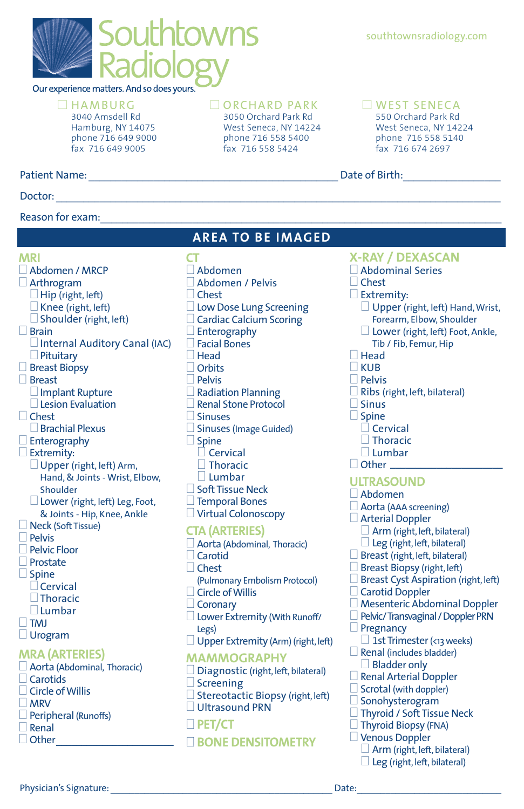

Our experience matters. And so does yours.

## $\Box$ HAMBURG

3040 Amsdell Rd Hamburg, NY 14075 phone 716 649 9000 fax 716 649 9005

### Doctor: \_\_\_\_\_\_\_\_\_\_\_\_\_\_\_\_\_\_\_\_\_\_\_\_\_\_\_\_\_\_\_\_\_\_\_\_\_\_\_\_\_\_\_\_\_\_\_\_\_\_\_\_\_\_\_\_\_\_\_\_\_\_\_\_\_\_\_\_\_\_\_\_\_\_\_\_\_\_\_\_\_\_

## Reason for exam:

## $\Box$  ORCHARD PARK

**AREA TO BE IMAGED**

**CT** 

3050 Orchard Park Rd West Seneca, NY 14224 phone 716 558 5400 fax 716 558 5424

## southtownsradiology.com

## **OWEST SENECA**

550 Orchard Park Rd West Seneca, NY 14224 phone 716 558 5140 fax 716 674 2697

Patient Name: \_\_\_\_\_\_\_\_\_\_\_\_\_\_\_\_\_\_\_\_\_\_\_\_\_\_\_\_\_\_\_\_\_\_\_\_\_\_\_\_\_\_\_\_\_\_ Date of Birth:\_\_\_\_\_\_\_\_\_\_\_\_\_\_\_\_\_\_

**MRI** 0Abdomen / MRCP 0Arthrogram  $\Box$  Hip (right, left)  $\Box$  Knee (right, left)  $\Box$  Shoulder (right, left)  $\Box$  Brain  $\Box$  Internal Auditory Canal (IAC)  $\Box$  Pituitary  $\Box$  Breast Biopsy □ Breast  $\Box$  Implant Rupture  $\square$  Lesion Evaluation  $\Box$  Chest  $\square$  Brachial Plexus  $\Box$  Enterography  $\square$  Extremity:  $\Box$  Upper (right, left) Arm, Hand, & Joints - Wrist, Elbow, Shoulder  $\square$  Lower (right, left) Leg, Foot, & Joints - Hip, Knee, Ankle **Neck (Soft Tissue)**  $\Box$  Pelvis □ Pelvic Floor  $\Box$  Prostate  $\Box$  Spine  $\Box$  Cervical  $\Box$ Thoracic  $\Box$  Lumbar  $\square$  TMJ □ Urogram **MRA (ARTERIES)** 0Aorta (Abdominal, Thoracic)  $\Box$  Carotids  $\Box$  Circle of Willis  $\Box$  MRV

 $\square$  Abdomen 0Abdomen / Pelvis  $\Box$  Chest  $\Box$  Low Dose Lung Screening  $\Box$  Cardiac Calcium Scoring  $\Box$  Enterography  $\Box$  Facial Bones  $\Box$  Head  $\Box$  Orbits  $\Box$  Pelvis  $\Box$  Radiation Planning □ Renal Stone Protocol  $\Box$  Sinuses  $\square$  Sinuses (Image Guided)  $\Box$  Spine  $\Box$  Cervical  $\Box$  Thoracic  $\Box$  Lumbar  $\square$  Soft Tissue Neck  $\Box$  Temporal Bones  $\Box$  Virtual Colonoscopy **CTA (ARTERIES)** 0Aorta (Abdominal, Thoracic)  $\Box$  Carotid

- □ Chest (Pulmonary Embolism Protocol)  $\Box$  Circle of Willis Coronary  $\Box$  Lower Extremity (With Runoff/ Legs)  $\Box$  Upper Extremity (Arm) (right, left) **MAMMOGRAPHY**
- $\Box$  Diagnostic (right, left, bilateral)  $\Box$  Screening  $\square$  Stereotactic Biopsy (right, left) □ Ultrasound PRN 0 **PET/CT**

## 0 **BONE DENSITOMETRY**

## **X-RAY / DEXASCAN**

- 0Abdominal Series
- $\Box$  Chest
- $\Box$  Extremity:
	- $\Box$  Upper (right, left) Hand, Wrist, Forearm, Elbow, Shoulder
	- $\Box$  Lower (right, left) Foot, Ankle,
		- Tib / Fib, Femur, Hip
- $\Box$  Head  $\Box$ KUB
- $\Box$  Pelvis
	-
- $\Box$  Ribs (right, left, bilateral)  $\Box$  Sinus
- $\Box$  Spine
	- $\Box$  Cervical
	- $\Box$  Thoracic
	- $\Box$  Lumbar
- $\Box$  Other  $\Box$

### **ULTRASOUND**

- $\Box$  Abdomen
- $\Box$  Aorta (AAA screening)
- 0Arterial Doppler
	- $\Box$  Arm (right, left, bilateral)
	- $\Box$  Leg (right, left, bilateral)
- $\Box$  Breast (right, left, bilateral)
- $\Box$  Breast Biopsy (right, left)
- $\Box$  Breast Cyst Aspiration (right, left)
- $\Box$  Carotid Doppler
- 0 Mesenteric Abdominal Doppler
- Pelvic/ Transvaginal / Doppler PRN
- $\Box$  Pregnancy
- $\Box$  1st Trimester (<13 weeks)
- $\Box$  Renal (includes bladder)  $\Box$  Bladder only
- $\square$  Renal Arterial Doppler
- $\Box$  Scrotal (with doppler)
- $\Box$  Sonohysterogram
- □ Thyroid / Soft Tissue Neck
- $\Box$  Thyroid Biopsy (FNA)
- $\Box$  Venous Doppler
	- 0 Arm (right, left, bilateral)
	- $\Box$  Leg (right, left, bilateral)

 $\Box$  Peripheral (Runoffs)

 $\Box$  Renal  $\Box$  Other